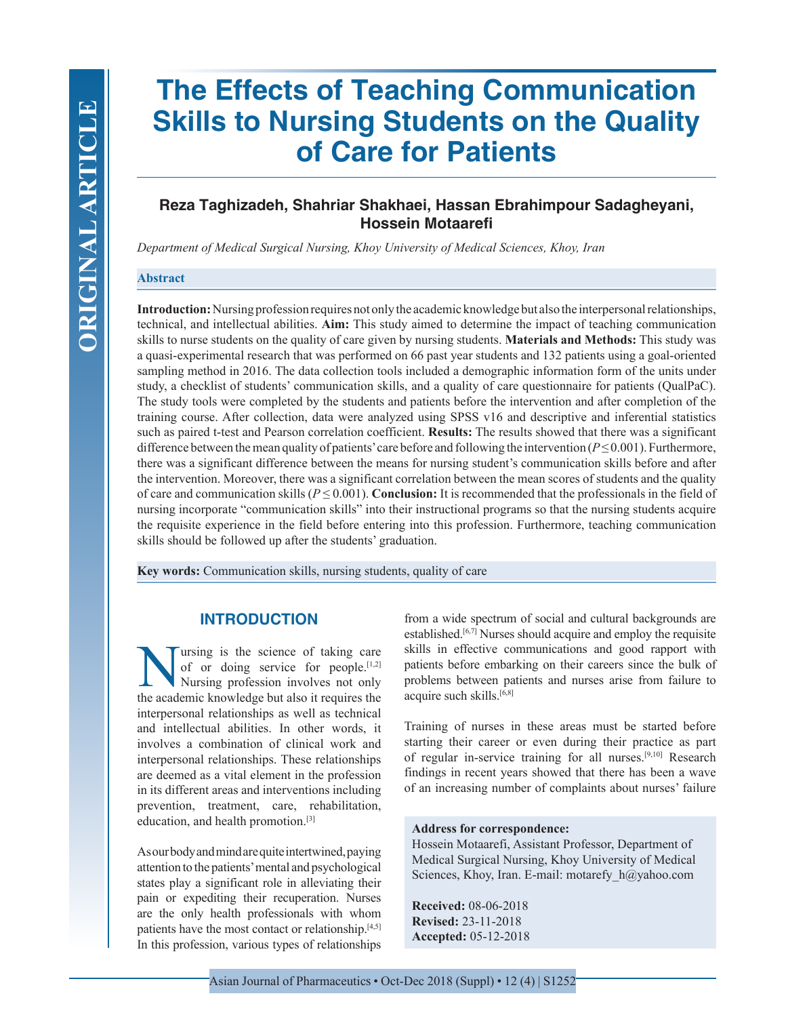# **The Effects of Teaching Communication Skills to Nursing Students on the Quality of Care for Patients**

## **Reza Taghizadeh, Shahriar Shakhaei, Hassan Ebrahimpour Sadagheyani, Hossein Motaarefi**

*Department of Medical Surgical Nursing, Khoy University of Medical Sciences, Khoy, Iran*

#### **Abstract**

**Introduction:** Nursing profession requires not only the academic knowledge but also the interpersonal relationships, technical, and intellectual abilities. **Aim:** This study aimed to determine the impact of teaching communication skills to nurse students on the quality of care given by nursing students. **Materials and Methods:** This study was a quasi-experimental research that was performed on 66 past year students and 132 patients using a goal-oriented sampling method in 2016. The data collection tools included a demographic information form of the units under study, a checklist of students' communication skills, and a quality of care questionnaire for patients (QualPaC). The study tools were completed by the students and patients before the intervention and after completion of the training course. After collection, data were analyzed using SPSS v16 and descriptive and inferential statistics such as paired t-test and Pearson correlation coefficient. **Results:** The results showed that there was a significant difference between the mean quality of patients' care before and following the intervention (*P* ≤ 0.001). Furthermore, there was a significant difference between the means for nursing student's communication skills before and after the intervention. Moreover, there was a significant correlation between the mean scores of students and the quality of care and communication skills ( $P \le 0.001$ ). **Conclusion:** It is recommended that the professionals in the field of nursing incorporate "communication skills" into their instructional programs so that the nursing students acquire the requisite experience in the field before entering into this profession. Furthermore, teaching communication skills should be followed up after the students' graduation.

**Key words:** Communication skills, nursing students, quality of care

### **INTRODUCTION**

Ultraing is the science of taking care<br>of or doing service for people.<sup>[1,2]</sup><br>Nursing profession involves not only<br>the academic knowledge but also it requires the of or doing service for people. $[1,2]$ Nursing profession involves not only the academic knowledge but also it requires the interpersonal relationships as well as technical and intellectual abilities. In other words, it involves a combination of clinical work and interpersonal relationships. These relationships are deemed as a vital element in the profession in its different areas and interventions including prevention, treatment, care, rehabilitation, education, and health promotion.[3]

As our body and mind are quite intertwined, paying attention to the patients' mental and psychological states play a significant role in alleviating their pain or expediting their recuperation. Nurses are the only health professionals with whom patients have the most contact or relationship.[4,5] In this profession, various types of relationships

from a wide spectrum of social and cultural backgrounds are established.<sup>[6,7]</sup> Nurses should acquire and employ the requisite skills in effective communications and good rapport with patients before embarking on their careers since the bulk of problems between patients and nurses arise from failure to acquire such skills.<sup>[6,8]</sup>

Training of nurses in these areas must be started before starting their career or even during their practice as part of regular in-service training for all nurses.[9,10] Research findings in recent years showed that there has been a wave of an increasing number of complaints about nurses' failure

#### **Address for correspondence:**

Hossein Motaarefi, Assistant Professor, Department of Medical Surgical Nursing, Khoy University of Medical Sciences, Khoy, Iran. E-mail: motarefy h@yahoo.com

**Received:** 08-06-2018 **Revised:** 23-11-2018 **Accepted:** 05-12-2018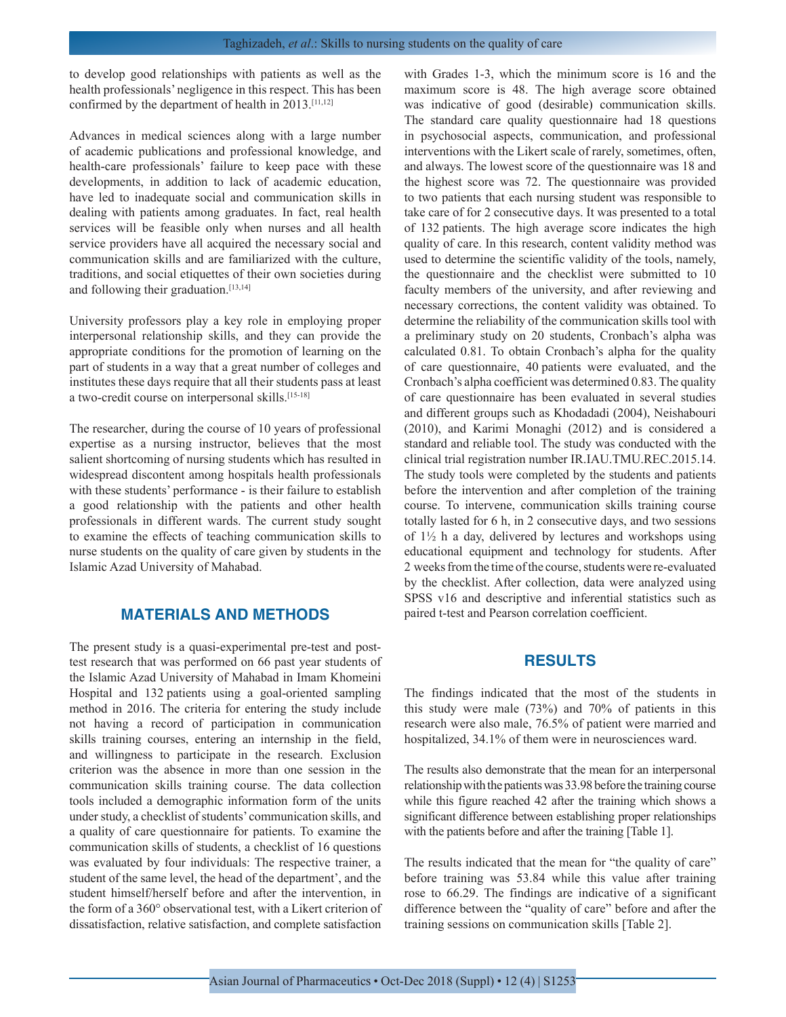to develop good relationships with patients as well as the health professionals' negligence in this respect. This has been confirmed by the department of health in 2013.[11,12]

Advances in medical sciences along with a large number of academic publications and professional knowledge, and health-care professionals' failure to keep pace with these developments, in addition to lack of academic education, have led to inadequate social and communication skills in dealing with patients among graduates. In fact, real health services will be feasible only when nurses and all health service providers have all acquired the necessary social and communication skills and are familiarized with the culture, traditions, and social etiquettes of their own societies during and following their graduation.[13,14]

University professors play a key role in employing proper interpersonal relationship skills, and they can provide the appropriate conditions for the promotion of learning on the part of students in a way that a great number of colleges and institutes these days require that all their students pass at least a two-credit course on interpersonal skills.[15-18]

The researcher, during the course of 10 years of professional expertise as a nursing instructor, believes that the most salient shortcoming of nursing students which has resulted in widespread discontent among hospitals health professionals with these students' performance - is their failure to establish a good relationship with the patients and other health professionals in different wards. The current study sought to examine the effects of teaching communication skills to nurse students on the quality of care given by students in the Islamic Azad University of Mahabad.

## **MATERIALS AND METHODS**

The present study is a quasi-experimental pre-test and posttest research that was performed on 66 past year students of the Islamic Azad University of Mahabad in Imam Khomeini Hospital and 132 patients using a goal-oriented sampling method in 2016. The criteria for entering the study include not having a record of participation in communication skills training courses, entering an internship in the field, and willingness to participate in the research. Exclusion criterion was the absence in more than one session in the communication skills training course. The data collection tools included a demographic information form of the units under study, a checklist of students' communication skills, and a quality of care questionnaire for patients. To examine the communication skills of students, a checklist of 16 questions was evaluated by four individuals: The respective trainer, a student of the same level, the head of the department', and the student himself/herself before and after the intervention, in the form of a 360° observational test, with a Likert criterion of dissatisfaction, relative satisfaction, and complete satisfaction

with Grades 1-3, which the minimum score is 16 and the maximum score is 48. The high average score obtained was indicative of good (desirable) communication skills. The standard care quality questionnaire had 18 questions in psychosocial aspects, communication, and professional interventions with the Likert scale of rarely, sometimes, often, and always. The lowest score of the questionnaire was 18 and the highest score was 72. The questionnaire was provided to two patients that each nursing student was responsible to take care of for 2 consecutive days. It was presented to a total of 132 patients. The high average score indicates the high quality of care. In this research, content validity method was used to determine the scientific validity of the tools, namely, the questionnaire and the checklist were submitted to 10 faculty members of the university, and after reviewing and necessary corrections, the content validity was obtained. To determine the reliability of the communication skills tool with a preliminary study on 20 students, Cronbach's alpha was calculated 0.81. To obtain Cronbach's alpha for the quality of care questionnaire, 40 patients were evaluated, and the Cronbach's alpha coefficient was determined 0.83. The quality of care questionnaire has been evaluated in several studies and different groups such as Khodadadi (2004), Neishabouri (2010), and Karimi Monaghi (2012) and is considered a standard and reliable tool. The study was conducted with the clinical trial registration number IR.IAU.TMU.REC.2015.14. The study tools were completed by the students and patients before the intervention and after completion of the training course. To intervene, communication skills training course totally lasted for 6 h, in 2 consecutive days, and two sessions of 1½ h a day, delivered by lectures and workshops using educational equipment and technology for students. After 2 weeks from the time of the course, students were re-evaluated by the checklist. After collection, data were analyzed using SPSS v16 and descriptive and inferential statistics such as paired t-test and Pearson correlation coefficient.

#### **RESULTS**

The findings indicated that the most of the students in this study were male (73%) and 70% of patients in this research were also male, 76.5% of patient were married and hospitalized,  $34.1\%$  of them were in neurosciences ward.

The results also demonstrate that the mean for an interpersonal relationship with the patients was 33.98 before the training course while this figure reached 42 after the training which shows a significant difference between establishing proper relationships with the patients before and after the training [Table 1].

The results indicated that the mean for "the quality of care" before training was 53.84 while this value after training rose to 66.29. The findings are indicative of a significant difference between the "quality of care" before and after the training sessions on communication skills [Table 2].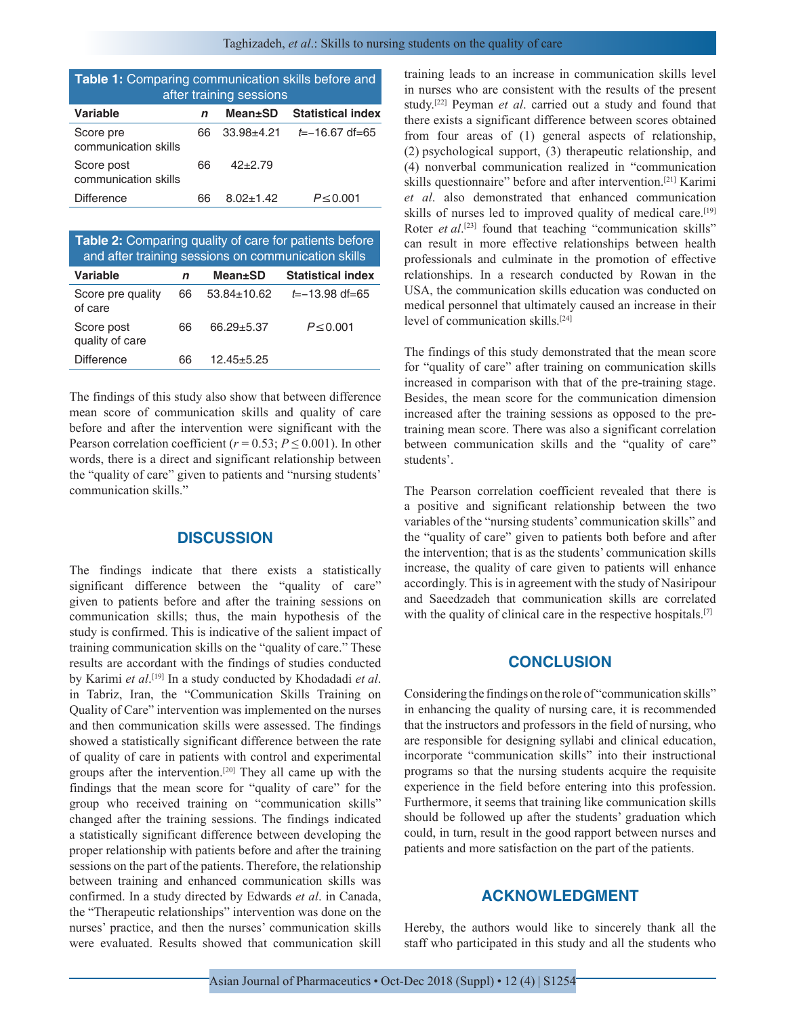| Table 1: Comparing communication skills before and<br>after training sessions |    |                 |                          |  |  |
|-------------------------------------------------------------------------------|----|-----------------|--------------------------|--|--|
| Variable                                                                      | n  | <b>Mean</b> ±SD | <b>Statistical index</b> |  |  |
| Score pre<br>communication skills                                             | 66 | $33.98 + 4.21$  | $t = -16.67$ df=65       |  |  |
| Score post<br>communication skills                                            | 66 | $42 + 2.79$     |                          |  |  |
| <b>Difference</b>                                                             | 66 | $8.02 \pm 1.42$ | $P \le 0.001$            |  |  |

| <b>Table 2:</b> Comparing quality of care for patients before<br>and after training sessions on communication skills |    |                   |                          |  |  |
|----------------------------------------------------------------------------------------------------------------------|----|-------------------|--------------------------|--|--|
| <b>Variable</b>                                                                                                      | n  | <b>Mean</b> ±SD   | <b>Statistical index</b> |  |  |
| Score pre quality<br>of care                                                                                         | 66 | $53.84 \pm 10.62$ | $t=-13.98$ df=65         |  |  |
| Score post<br>quality of care                                                                                        | 66 | $66.29 + 5.37$    | $P \le 0.001$            |  |  |
| <b>Difference</b>                                                                                                    | 66 | $12.45 + 5.25$    |                          |  |  |

The findings of this study also show that between difference mean score of communication skills and quality of care before and after the intervention were significant with the Pearson correlation coefficient ( $r = 0.53$ ;  $P \le 0.001$ ). In other words, there is a direct and significant relationship between the "quality of care" given to patients and "nursing students' communication skills."

## **DISCUSSION**

The findings indicate that there exists a statistically significant difference between the "quality of care" given to patients before and after the training sessions on communication skills; thus, the main hypothesis of the study is confirmed. This is indicative of the salient impact of training communication skills on the "quality of care." These results are accordant with the findings of studies conducted by Karimi *et al*. [19] In a study conducted by Khodadadi *et al*. in Tabriz, Iran, the "Communication Skills Training on Quality of Care" intervention was implemented on the nurses and then communication skills were assessed. The findings showed a statistically significant difference between the rate of quality of care in patients with control and experimental groups after the intervention.[20] They all came up with the findings that the mean score for "quality of care" for the group who received training on "communication skills" changed after the training sessions. The findings indicated a statistically significant difference between developing the proper relationship with patients before and after the training sessions on the part of the patients. Therefore, the relationship between training and enhanced communication skills was confirmed. In a study directed by Edwards *et al*. in Canada, the "Therapeutic relationships" intervention was done on the nurses' practice, and then the nurses' communication skills were evaluated. Results showed that communication skill

training leads to an increase in communication skills level in nurses who are consistent with the results of the present study.[22] Peyman *et al*. carried out a study and found that there exists a significant difference between scores obtained from four areas of (1) general aspects of relationship, (2) psychological support, (3) therapeutic relationship, and (4) nonverbal communication realized in "communication skills questionnaire" before and after intervention.[21] Karimi *et al*. also demonstrated that enhanced communication skills of nurses led to improved quality of medical care.<sup>[19]</sup> Roter *et al*.<sup>[23]</sup> found that teaching "communication skills" can result in more effective relationships between health professionals and culminate in the promotion of effective relationships. In a research conducted by Rowan in the USA, the communication skills education was conducted on medical personnel that ultimately caused an increase in their level of communication skills.[24]

The findings of this study demonstrated that the mean score for "quality of care" after training on communication skills increased in comparison with that of the pre-training stage. Besides, the mean score for the communication dimension increased after the training sessions as opposed to the pretraining mean score. There was also a significant correlation between communication skills and the "quality of care" students'.

The Pearson correlation coefficient revealed that there is a positive and significant relationship between the two variables of the "nursing students' communication skills" and the "quality of care" given to patients both before and after the intervention; that is as the students' communication skills increase, the quality of care given to patients will enhance accordingly. This is in agreement with the study of Nasiripour and Saeedzadeh that communication skills are correlated with the quality of clinical care in the respective hospitals.<sup>[7]</sup>

#### **CONCLUSION**

Considering the findings on the role of "communication skills" in enhancing the quality of nursing care, it is recommended that the instructors and professors in the field of nursing, who are responsible for designing syllabi and clinical education, incorporate "communication skills" into their instructional programs so that the nursing students acquire the requisite experience in the field before entering into this profession. Furthermore, it seems that training like communication skills should be followed up after the students' graduation which could, in turn, result in the good rapport between nurses and patients and more satisfaction on the part of the patients.

## **ACKNOWLEDGMENT**

Hereby, the authors would like to sincerely thank all the staff who participated in this study and all the students who